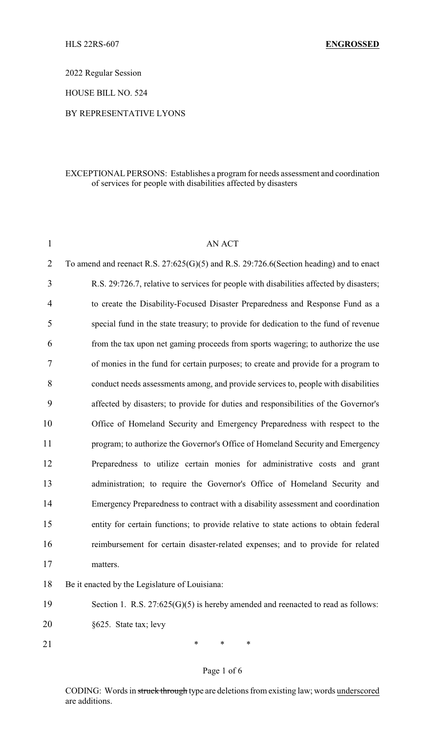2022 Regular Session

HOUSE BILL NO. 524

### BY REPRESENTATIVE LYONS

### EXCEPTIONAL PERSONS: Establishes a program for needs assessment and coordination of services for people with disabilities affected by disasters

| $\mathbf{1}$   | <b>AN ACT</b>                                                                               |
|----------------|---------------------------------------------------------------------------------------------|
| $\overline{2}$ | To amend and reenact R.S. $27:625(G)(5)$ and R.S. $29:726.6$ (Section heading) and to enact |
| 3              | R.S. 29:726.7, relative to services for people with disabilities affected by disasters;     |
| $\overline{4}$ | to create the Disability-Focused Disaster Preparedness and Response Fund as a               |
| 5              | special fund in the state treasury; to provide for dedication to the fund of revenue        |
| 6              | from the tax upon net gaming proceeds from sports wagering; to authorize the use            |
| 7              | of monies in the fund for certain purposes; to create and provide for a program to          |
| 8              | conduct needs assessments among, and provide services to, people with disabilities          |
| 9              | affected by disasters; to provide for duties and responsibilities of the Governor's         |
| 10             | Office of Homeland Security and Emergency Preparedness with respect to the                  |
| 11             | program; to authorize the Governor's Office of Homeland Security and Emergency              |
| 12             | Preparedness to utilize certain monies for administrative costs and grant                   |
| 13             | administration; to require the Governor's Office of Homeland Security and                   |
| 14             | Emergency Preparedness to contract with a disability assessment and coordination            |
| 15             | entity for certain functions; to provide relative to state actions to obtain federal        |
| 16             | reimbursement for certain disaster-related expenses; and to provide for related             |
| 17             | matters.                                                                                    |
| 18             | Be it enacted by the Legislature of Louisiana:                                              |
| 19             | Section 1. R.S. $27:625(G)(5)$ is hereby amended and reenacted to read as follows:          |

20 §625. State tax; levy

21 \* \* \* \*

# Page 1 of 6

CODING: Words in struck through type are deletions from existing law; words underscored are additions.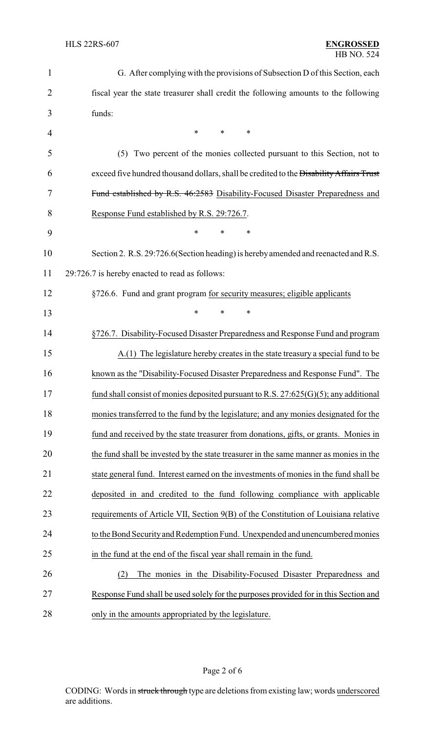| $\mathbf{1}$   | G. After complying with the provisions of Subsection D of this Section, each            |  |
|----------------|-----------------------------------------------------------------------------------------|--|
| $\overline{2}$ | fiscal year the state treasurer shall credit the following amounts to the following     |  |
| 3              | funds:                                                                                  |  |
| 4              | $\ast$<br>∗<br>*                                                                        |  |
| 5              | Two percent of the monies collected pursuant to this Section, not to<br>(5)             |  |
| 6              | exceed five hundred thousand dollars, shall be credited to the Disability Affairs Trust |  |
| 7              | Fund established by R.S. 46:2583 Disability-Focused Disaster Preparedness and           |  |
| 8              | Response Fund established by R.S. 29:726.7.                                             |  |
| 9              | *<br>*<br>*                                                                             |  |
| 10             | Section 2. R.S. 29:726.6 (Section heading) is hereby amended and reenacted and R.S.     |  |
| 11             | 29:726.7 is hereby enacted to read as follows:                                          |  |
| 12             | §726.6. Fund and grant program for security measures; eligible applicants               |  |
| 13             | $\ast$<br>*<br>$\ast$                                                                   |  |
| 14             | §726.7. Disability-Focused Disaster Preparedness and Response Fund and program          |  |
| 15             | A.(1) The legislature hereby creates in the state treasury a special fund to be         |  |
| 16             | known as the "Disability-Focused Disaster Preparedness and Response Fund". The          |  |
| 17             | fund shall consist of monies deposited pursuant to R.S. $27:625(G)(5)$ ; any additional |  |
| 18             | monies transferred to the fund by the legislature; and any monies designated for the    |  |
| 19             | fund and received by the state treasurer from donations, gifts, or grants. Monies in    |  |
| 20             | the fund shall be invested by the state treasurer in the same manner as monies in the   |  |
| 21             | state general fund. Interest earned on the investments of monies in the fund shall be   |  |
| 22             | deposited in and credited to the fund following compliance with applicable              |  |
| 23             | requirements of Article VII, Section 9(B) of the Constitution of Louisiana relative     |  |
| 24             | to the Bond Security and Redemption Fund. Unexpended and unencumbered monies            |  |
| 25             | in the fund at the end of the fiscal year shall remain in the fund.                     |  |
| 26             | The monies in the Disability-Focused Disaster Preparedness and<br>(2)                   |  |
| 27             | Response Fund shall be used solely for the purposes provided for in this Section and    |  |
| 28             | only in the amounts appropriated by the legislature.                                    |  |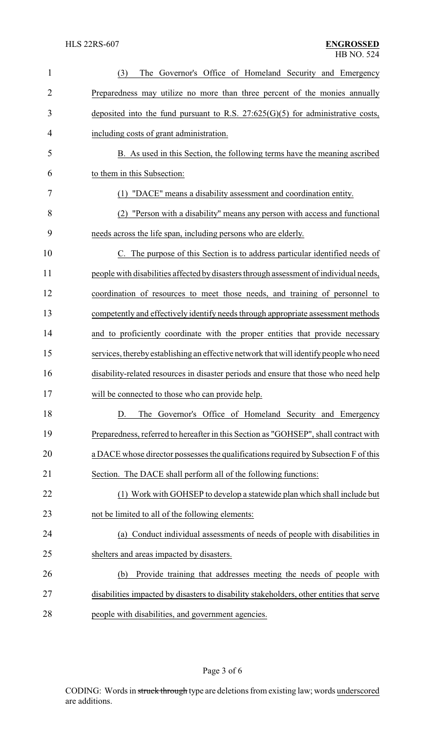| $\mathbf{1}$   | The Governor's Office of Homeland Security and Emergency<br>(3)                          |
|----------------|------------------------------------------------------------------------------------------|
| $\overline{2}$ | Preparedness may utilize no more than three percent of the monies annually               |
| 3              | deposited into the fund pursuant to R.S. $27:625(G)(5)$ for administrative costs,        |
| 4              | including costs of grant administration.                                                 |
| 5              | B. As used in this Section, the following terms have the meaning ascribed                |
| 6              | to them in this Subsection:                                                              |
| 7              | (1) "DACE" means a disability assessment and coordination entity.                        |
| 8              | (2) "Person with a disability" means any person with access and functional               |
| 9              | needs across the life span, including persons who are elderly.                           |
| 10             | C. The purpose of this Section is to address particular identified needs of              |
| 11             | people with disabilities affected by disasters through assessment of individual needs,   |
| 12             | coordination of resources to meet those needs, and training of personnel to              |
| 13             | competently and effectively identify needs through appropriate assessment methods        |
| 14             | and to proficiently coordinate with the proper entities that provide necessary           |
| 15             | services, thereby establishing an effective network that will identify people who need   |
| 16             | disability-related resources in disaster periods and ensure that those who need help     |
| 17             | will be connected to those who can provide help.                                         |
| 18             | The Governor's Office of Homeland Security and Emergency<br>D.                           |
| 19             | Preparedness, referred to hereafter in this Section as "GOHSEP", shall contract with     |
| 20             | a DACE whose director possesses the qualifications required by Subsection F of this      |
| 21             | Section. The DACE shall perform all of the following functions:                          |
| 22             | (1) Work with GOHSEP to develop a statewide plan which shall include but                 |
| 23             | not be limited to all of the following elements:                                         |
| 24             | (a) Conduct individual assessments of needs of people with disabilities in               |
| 25             | shelters and areas impacted by disasters.                                                |
| 26             | Provide training that addresses meeting the needs of people with<br>(b)                  |
| 27             | disabilities impacted by disasters to disability stakeholders, other entities that serve |
| 28             | people with disabilities, and government agencies.                                       |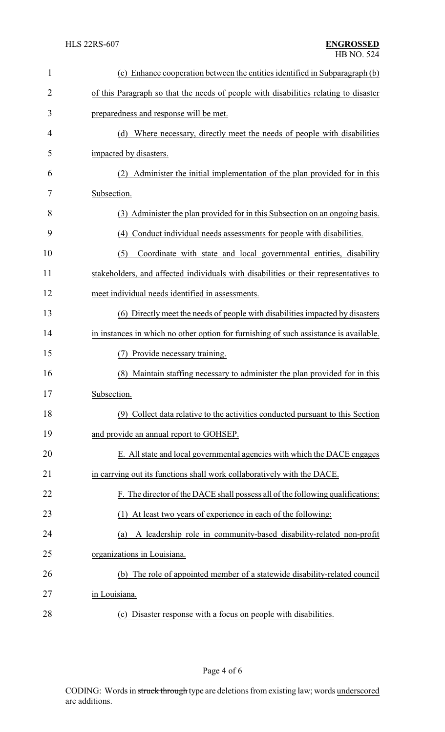| $\mathbf{1}$   | (c) Enhance cooperation between the entities identified in Subparagraph (b)           |
|----------------|---------------------------------------------------------------------------------------|
| $\overline{2}$ | of this Paragraph so that the needs of people with disabilities relating to disaster  |
| 3              | preparedness and response will be met.                                                |
| 4              | (d) Where necessary, directly meet the needs of people with disabilities              |
| 5              | impacted by disasters.                                                                |
| 6              | Administer the initial implementation of the plan provided for in this                |
| 7              | Subsection.                                                                           |
| 8              | (3) Administer the plan provided for in this Subsection on an ongoing basis.          |
| 9              | (4) Conduct individual needs assessments for people with disabilities.                |
| 10             | Coordinate with state and local governmental entities, disability<br>(5)              |
| 11             | stakeholders, and affected individuals with disabilities or their representatives to  |
| 12             | meet individual needs identified in assessments.                                      |
| 13             | (6) Directly meet the needs of people with disabilities impacted by disasters         |
| 14             | in instances in which no other option for furnishing of such assistance is available. |
| 15             | Provide necessary training.<br>(7)                                                    |
| 16             | Maintain staffing necessary to administer the plan provided for in this<br>(8)        |
| 17             | Subsection.                                                                           |
| 18             | (9) Collect data relative to the activities conducted pursuant to this Section        |
| 19             | and provide an annual report to GOHSEP.                                               |
| 20             | E. All state and local governmental agencies with which the DACE engages              |
| 21             | in carrying out its functions shall work collaboratively with the DACE.               |
| 22             | F. The director of the DACE shall possess all of the following qualifications:        |
| 23             | At least two years of experience in each of the following:<br>(1)                     |
| 24             | A leadership role in community-based disability-related non-profit<br>(a)             |
| 25             | organizations in Louisiana.                                                           |
| 26             | (b) The role of appointed member of a statewide disability-related council            |
| 27             | in Louisiana.                                                                         |
| 28             | Disaster response with a focus on people with disabilities.<br>(c)                    |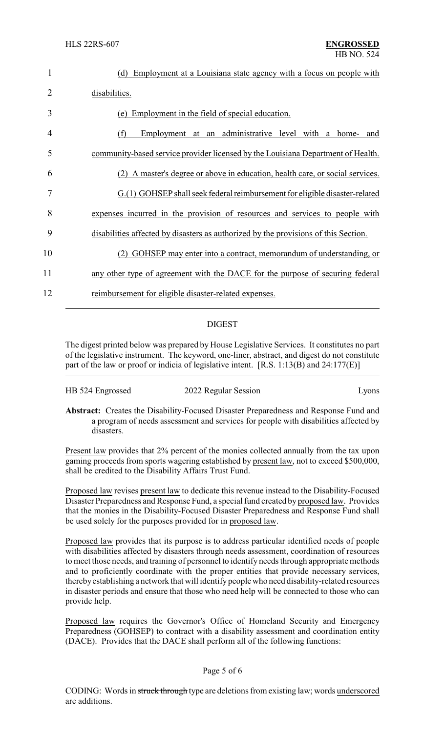| 1  | Employment at a Louisiana state agency with a focus on people with<br>(d)           |
|----|-------------------------------------------------------------------------------------|
| 2  | disabilities.                                                                       |
| 3  | Employment in the field of special education.<br>(e)                                |
| 4  | Employment at an administrative level with a home-<br>(f)<br>and                    |
| 5  | community-based service provider licensed by the Louisiana Department of Health.    |
| 6  | A master's degree or above in education, health care, or social services.           |
| 7  | G.(1) GOHSEP shall seek federal reimbursement for eligible disaster-related         |
| 8  | expenses incurred in the provision of resources and services to people with         |
| 9  | disabilities affected by disasters as authorized by the provisions of this Section. |
| 10 | GOHSEP may enter into a contract, memorandum of understanding, or                   |
| 11 | any other type of agreement with the DACE for the purpose of securing federal       |
| 12 | reimbursement for eligible disaster-related expenses.                               |
|    |                                                                                     |

## DIGEST

The digest printed below was prepared by House Legislative Services. It constitutes no part of the legislative instrument. The keyword, one-liner, abstract, and digest do not constitute part of the law or proof or indicia of legislative intent. [R.S. 1:13(B) and 24:177(E)]

| HB 524 Engrossed | 2022 Regular Session | Lyons |
|------------------|----------------------|-------|
|------------------|----------------------|-------|

**Abstract:** Creates the Disability-Focused Disaster Preparedness and Response Fund and a program of needs assessment and services for people with disabilities affected by disasters.

Present law provides that 2% percent of the monies collected annually from the tax upon gaming proceeds from sports wagering established by present law, not to exceed \$500,000, shall be credited to the Disability Affairs Trust Fund.

Proposed law revises present law to dedicate this revenue instead to the Disability-Focused Disaster Preparedness and Response Fund, a special fund created by proposed law. Provides that the monies in the Disability-Focused Disaster Preparedness and Response Fund shall be used solely for the purposes provided for in proposed law.

Proposed law provides that its purpose is to address particular identified needs of people with disabilities affected by disasters through needs assessment, coordination of resources to meet those needs, and training of personnel to identify needs through appropriate methods and to proficiently coordinate with the proper entities that provide necessary services, therebyestablishing a network that will identifypeople who need disability-related resources in disaster periods and ensure that those who need help will be connected to those who can provide help.

Proposed law requires the Governor's Office of Homeland Security and Emergency Preparedness (GOHSEP) to contract with a disability assessment and coordination entity (DACE). Provides that the DACE shall perform all of the following functions:

### Page 5 of 6